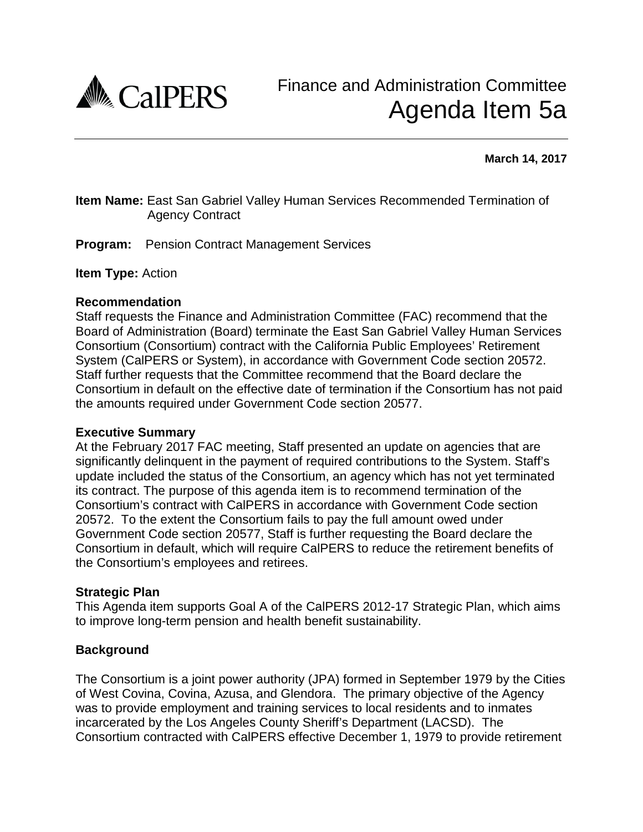

**March 14, 2017**

## **Item Name:** East San Gabriel Valley Human Services Recommended Termination of Agency Contract

**Program:**Pension Contract Management Services

**Item Type:** Action

#### **Recommendation**

Staff requests the Finance and Administration Committee (FAC) recommend that the Board of Administration (Board) terminate the East San Gabriel Valley Human Services Consortium (Consortium) contract with the California Public Employees' Retirement System (CalPERS or System), in accordance with Government Code section 20572. Staff further requests that the Committee recommend that the Board declare the Consortium in default on the effective date of termination if the Consortium has not paid the amounts required under Government Code section 20577.

#### **Executive Summary**

At the February 2017 FAC meeting, Staff presented an update on agencies that are significantly delinquent in the payment of required contributions to the System. Staff's update included the status of the Consortium, an agency which has not yet terminated its contract. The purpose of this agenda item is to recommend termination of the Consortium's contract with CalPERS in accordance with Government Code section 20572. To the extent the Consortium fails to pay the full amount owed under Government Code section 20577, Staff is further requesting the Board declare the Consortium in default, which will require CalPERS to reduce the retirement benefits of the Consortium's employees and retirees.

### **Strategic Plan**

This Agenda item supports Goal A of the CalPERS 2012-17 Strategic Plan, which aims to improve long-term pension and health benefit sustainability.

### **Background**

The Consortium is a joint power authority (JPA) formed in September 1979 by the Cities of West Covina, Covina, Azusa, and Glendora. The primary objective of the Agency was to provide employment and training services to local residents and to inmates incarcerated by the Los Angeles County Sheriff's Department (LACSD). The Consortium contracted with CalPERS effective December 1, 1979 to provide retirement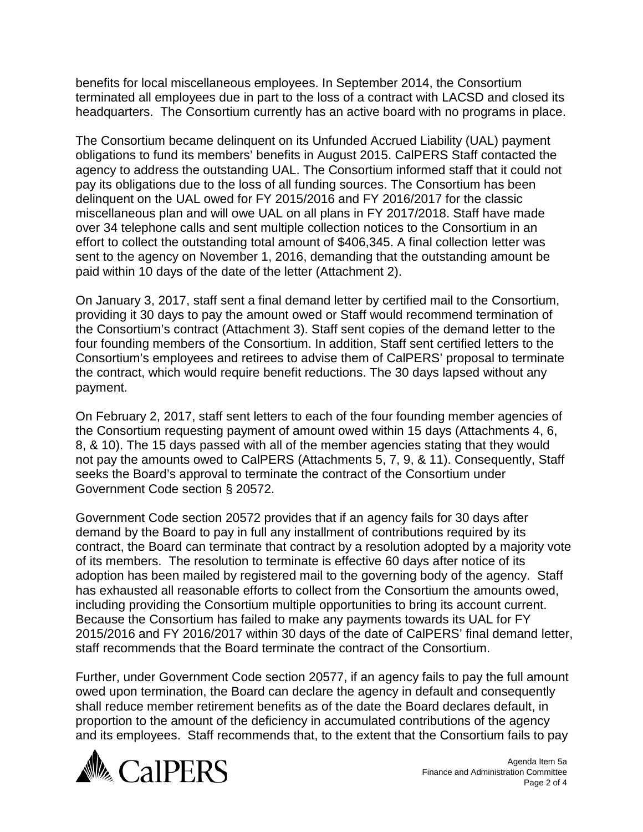benefits for local miscellaneous employees. In September 2014, the Consortium terminated all employees due in part to the loss of a contract with LACSD and closed its headquarters. The Consortium currently has an active board with no programs in place.

The Consortium became delinquent on its Unfunded Accrued Liability (UAL) payment obligations to fund its members' benefits in August 2015. CalPERS Staff contacted the agency to address the outstanding UAL. The Consortium informed staff that it could not pay its obligations due to the loss of all funding sources. The Consortium has been delinquent on the UAL owed for FY 2015/2016 and FY 2016/2017 for the classic miscellaneous plan and will owe UAL on all plans in FY 2017/2018. Staff have made over 34 telephone calls and sent multiple collection notices to the Consortium in an effort to collect the outstanding total amount of \$406,345. A final collection letter was sent to the agency on November 1, 2016, demanding that the outstanding amount be paid within 10 days of the date of the letter (Attachment 2).

On January 3, 2017, staff sent a final demand letter by certified mail to the Consortium, providing it 30 days to pay the amount owed or Staff would recommend termination of the Consortium's contract (Attachment 3). Staff sent copies of the demand letter to the four founding members of the Consortium. In addition, Staff sent certified letters to the Consortium's employees and retirees to advise them of CalPERS' proposal to terminate the contract, which would require benefit reductions. The 30 days lapsed without any payment.

On February 2, 2017, staff sent letters to each of the four founding member agencies of the Consortium requesting payment of amount owed within 15 days (Attachments 4, 6, 8, & 10). The 15 days passed with all of the member agencies stating that they would not pay the amounts owed to CalPERS (Attachments 5, 7, 9, & 11). Consequently, Staff seeks the Board's approval to terminate the contract of the Consortium under Government Code section § 20572.

Government Code section 20572 provides that if an agency fails for 30 days after demand by the Board to pay in full any installment of contributions required by its contract, the Board can terminate that contract by a resolution adopted by a majority vote of its members. The resolution to terminate is effective 60 days after notice of its adoption has been mailed by registered mail to the governing body of the agency. Staff has exhausted all reasonable efforts to collect from the Consortium the amounts owed, including providing the Consortium multiple opportunities to bring its account current. Because the Consortium has failed to make any payments towards its UAL for FY 2015/2016 and FY 2016/2017 within 30 days of the date of CalPERS' final demand letter, staff recommends that the Board terminate the contract of the Consortium.

Further, under Government Code section 20577, if an agency fails to pay the full amount owed upon termination, the Board can declare the agency in default and consequently shall reduce member retirement benefits as of the date the Board declares default, in proportion to the amount of the deficiency in accumulated contributions of the agency and its employees. Staff recommends that, to the extent that the Consortium fails to pay



Agenda Item 5a Finance and Administration Committee Page 2 of 4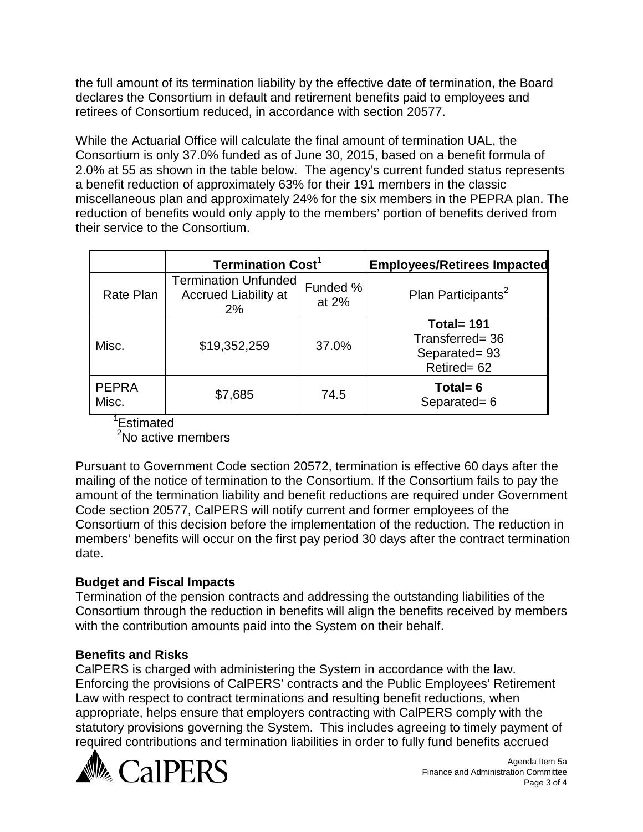the full amount of its termination liability by the effective date of termination, the Board declares the Consortium in default and retirement benefits paid to employees and retirees of Consortium reduced, in accordance with section 20577.

While the Actuarial Office will calculate the final amount of termination UAL, the Consortium is only 37.0% funded as of June 30, 2015, based on a benefit formula of 2.0% at 55 as shown in the table below. The agency's current funded status represents a benefit reduction of approximately 63% for their 191 members in the classic miscellaneous plan and approximately 24% for the six members in the PEPRA plan. The reduction of benefits would only apply to the members' portion of benefits derived from their service to the Consortium.

|                       | <b>Termination Cost<sup>1</sup></b>                              |                   | <b>Employees/Retirees Impacted</b>                             |
|-----------------------|------------------------------------------------------------------|-------------------|----------------------------------------------------------------|
| Rate Plan             | <b>Termination Unfunded</b><br><b>Accrued Liability at</b><br>2% | Funded %<br>at 2% | Plan Participants <sup>2</sup>                                 |
| Misc.                 | \$19,352,259                                                     | 37.0%             | Total= $191$<br>Transferred= 36<br>Separated=93<br>Retired= 62 |
| <b>PEPRA</b><br>Misc. | \$7,685                                                          | 74.5              | Total= $6$<br>Separated= 6                                     |

1 Estimated

<sup>2</sup>No active members

Pursuant to Government Code section 20572, termination is effective 60 days after the mailing of the notice of termination to the Consortium. If the Consortium fails to pay the amount of the termination liability and benefit reductions are required under Government Code section 20577, CalPERS will notify current and former employees of the Consortium of this decision before the implementation of the reduction. The reduction in members' benefits will occur on the first pay period 30 days after the contract termination date.

# **Budget and Fiscal Impacts**

Termination of the pension contracts and addressing the outstanding liabilities of the Consortium through the reduction in benefits will align the benefits received by members with the contribution amounts paid into the System on their behalf.

# **Benefits and Risks**

CalPERS is charged with administering the System in accordance with the law. Enforcing the provisions of CalPERS' contracts and the Public Employees' Retirement Law with respect to contract terminations and resulting benefit reductions, when appropriate, helps ensure that employers contracting with CalPERS comply with the statutory provisions governing the System. This includes agreeing to timely payment of required contributions and termination liabilities in order to fully fund benefits accrued